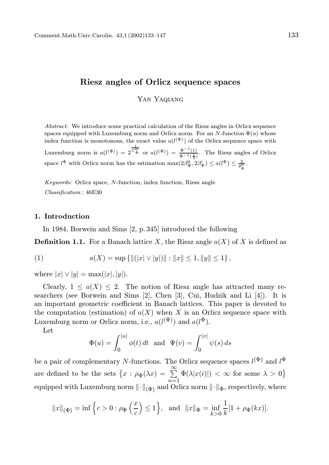# Riesz angles of Orlicz sequence spaces

YAN YAQIANG

Abstract. We introduce some practical calculation of the Riesz angles in Orlicz sequence spaces equipped with Luxemburg norm and Orlicz norm. For an N-function  $\Phi(u)$  whose index function is monotonous, the exact value  $a(l^{(\Phi)})$  of the Orlicz sequence space with Luxemburg norm is  $a(l^{(\Phi)}) = 2^{\frac{1}{C_{\Phi}^0}}$  or  $a(l^{(\Phi)}) = \frac{\Phi^{-1}(1)}{\Phi^{-1}(\frac{1}{\Phi})}$ . The Riesz angles of Orlicz space  $l^{\Phi}$  with Orlicz norm has the estimation  $\max(2\beta_{\Psi}^0, 2\beta_{\Psi}') \leq a(l^{\Phi}) \leq \frac{2}{\theta_{\Phi}^0}$ .

Keywords: Orlicz space, N-function, index function, Riesz angle Classification: 46E30

# 1. Introduction

In 1984, Borwein and Sims [2, p. 345] introduced the following

**Definition 1.1.** For a Banach lattice X, the Riesz angle  $a(X)$  of X is defined as

(1) 
$$
a(X) = \sup \{ ||(|x| \vee |y|) || : ||x|| \le 1, ||y|| \le 1 \},
$$

where  $|x| \vee |y| = \max(|x|, |y|)$ .

Clearly,  $1 \leq a(X) \leq 2$ . The notion of Riesz angle has attracted many researchers (see Borwein and Sims [2], Chen [3], Cui, Hudzik and Li [4]). It is an important geometric coefficient in Banach lattices. This paper is devoted to the computation (estimation) of  $a(X)$  when X is an Orlicz sequence space with Luxemburg norm or Orlicz norm, i.e.,  $a(l^{(\Phi)})$  and  $a(l^{\Phi})$ .

Let

$$
\Phi(u) = \int_0^{|u|} \phi(t) dt \text{ and } \Psi(v) = \int_0^{|v|} \psi(s) ds
$$

be a pair of complementary N-functions. The Orlicz sequence spaces  $l^{(\Phi)}$  and  $l^{\Phi}$ are defined to be the sets  $\{x : \rho_{\Phi}(\lambda x) = \sum_{n=1}^{\infty} \Phi(\lambda |x(i)|) < \infty \text{ for some } \lambda > 0\}$ equipped with Luxemburg norm  $\|\cdot\|_{(\Phi)}$  and Orlicz norm  $\|\cdot\|_{\Phi}$ , respectively, where

$$
||x||_{(\Phi)} = \inf \left\{ c > 0 : \rho_{\Phi}\left(\frac{x}{c}\right) \le 1 \right\}, \text{ and } ||x||_{\Phi} = \inf_{k>0} \frac{1}{k} [1 + \rho_{\Phi}(kx)].
$$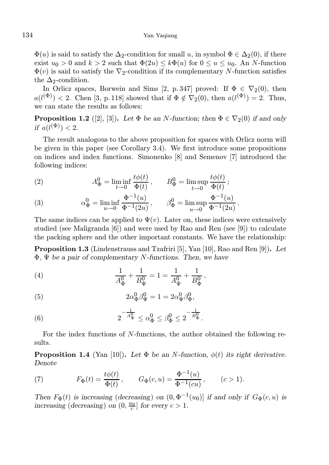$\Phi(u)$  is said to satisfy the  $\Delta_2$ -condition for small u, in symbol  $\Phi \in \Delta_2(0)$ , if there exist  $u_0 > 0$  and  $k > 2$  such that  $\Phi(2u) \leq k \Phi(u)$  for  $0 \leq u \leq u_0$ . An *N*-function  $\Phi(v)$  is said to satisfy the  $\nabla_2$ -condition if its complementary N-function satisfies the  $\Delta_2$ -condition.

In Orlicz spaces, Borwein and Sims [2, p. 347] proved: If  $\Phi \in \nabla_2(0)$ , then  $a(l^{(\Phi)}) < 2$ . Chen [3, p. 118] showed that if  $\Phi \notin \nabla_2(0)$ , then  $a(l^{(\Phi)}) = 2$ . Thus, we can state the results as follows:

**Proposition 1.2** ([2], [3]). Let  $\Phi$  be an N-function; then  $\Phi \in \nabla_2(0)$  if and only if  $a(l^{(\Phi)}) < 2$ .

The result analogous to the above proposition for spaces with Orlicz norm will be given in this paper (see Corollary 3.4). We first introduce some propositions on indices and index functions. Simonenko [8] and Semenov [7] introduced the following indices:

(2) 
$$
A^0_{\Phi} = \liminf_{t \to 0} \frac{t\phi(t)}{\Phi(t)}, \qquad B^0_{\Phi} = \limsup_{t \to 0} \frac{t\phi(t)}{\Phi(t)};
$$

(3) 
$$
\alpha_{\Phi}^{0} = \liminf_{u \to 0} \frac{\Phi^{-1}(u)}{\Phi^{-1}(2u)}, \qquad \beta_{\Phi}^{0} = \limsup_{u \to 0} \frac{\Phi^{-1}(u)}{\Phi^{-1}(2u)}.
$$

The same indices can be applied to  $\Psi(v)$ . Later on, these indices were extensively studied (see Maligranda [6]) and were used by Rao and Ren (see [9]) to calculate the packing sphere and the other important constants. We have the relationship:

Proposition 1.3 (Lindenstrauss and Tzafriri [5], Yan [10], Rao and Ren [9]). Let  $\Phi$ ,  $\Psi$  be a pair of complementary N-functions. Then, we have

(4) 
$$
\frac{1}{A_{\Phi}^0} + \frac{1}{B_{\Psi}^0} = 1 = \frac{1}{A_{\Psi}^0} + \frac{1}{B_{\Phi}^0},
$$

(5) 
$$
2\alpha_{\Phi}^0 \beta_{\Psi}^0 = 1 = 2\alpha_{\Psi}^0 \beta_{\Phi}^0,
$$

(6) 
$$
2^{-\frac{1}{A_{\Phi}^0}} \leq \alpha_{\Phi}^0 \leq \beta_{\Phi}^0 \leq 2^{-\frac{1}{B_{\Phi}^0}}.
$$

For the index functions of N-functions, the author obtained the following results.

**Proposition 1.4** (Yan [10]). Let  $\Phi$  be an *N*-function,  $\phi(t)$  its right derivative. Denote

(7) 
$$
F_{\Phi}(t) = \frac{t\phi(t)}{\Phi(t)}, \qquad G_{\Phi}(c, u) = \frac{\Phi^{-1}(u)}{\Phi^{-1}(cu)}, \qquad (c > 1).
$$

Then  $F_{\Phi}(t)$  is increasing (decreasing) on  $(0, \Phi^{-1}(u_0))$  if and only if  $G_{\Phi}(c, u)$  is increasing (decreasing) on  $(0, \frac{u_0}{c})$  for every  $c > 1$ .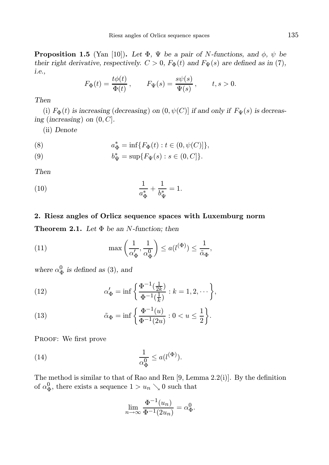**Proposition 1.5** (Yan [10]). Let  $\Phi$ ,  $\Psi$  be a pair of N-functions, and  $\phi$ ,  $\psi$  be their right derivative, respectively.  $C > 0$ ,  $F_{\Phi}(t)$  and  $F_{\Psi}(s)$  are defined as in (7), i.e.,

$$
F_{\Phi}(t) = \frac{t\phi(t)}{\Phi(t)}, \qquad F_{\Psi}(s) = \frac{s\psi(s)}{\Psi(s)}, \qquad t, s > 0.
$$

## Then

(i)  $F_{\Phi}(t)$  is increasing (decreasing) on  $(0, \psi(C)]$  if and only if  $F_{\Psi}(s)$  is decreasing (increasing) on  $(0, C]$ .

(ii) Denote

(8) 
$$
a_{\Phi}^* = \inf \{ F_{\Phi}(t) : t \in (0, \psi(C)] \},
$$

(9) 
$$
b_{\Psi}^* = \sup \{ F_{\Psi}(s) : s \in (0, C] \}.
$$

Then

(10) 
$$
\frac{1}{a_{\Phi}^{*}} + \frac{1}{b_{\Psi}^{*}} = 1.
$$

#### 2. Riesz angles of Orlicz sequence spaces with Luxemburg norm

**Theorem 2.1.** Let  $\Phi$  be an N-function; then

(11) 
$$
\max\left(\frac{1}{\alpha_{\Phi}'}, \frac{1}{\alpha_{\Phi}^0}\right) \le a(l^{(\Phi)}) \le \frac{1}{\tilde{\alpha}_{\Phi}},
$$

where  $\alpha_{\Phi}^{0}$  is defined as (3), and

(12) 
$$
\alpha'_{\Phi} = \inf \left\{ \frac{\Phi^{-1}(\frac{1}{2k})}{\Phi^{-1}(\frac{1}{k})} : k = 1, 2, \cdots \right\},\
$$

(13) 
$$
\tilde{\alpha}_{\Phi} = \inf \left\{ \frac{\Phi^{-1}(u)}{\Phi^{-1}(2u)} : 0 < u \le \frac{1}{2} \right\}.
$$

PROOF: We first prove

(14) 
$$
\frac{1}{\alpha_{\Phi}^0} \leq a(l^{(\Phi)}).
$$

The method is similar to that of Rao and Ren [9, Lemma 2.2(i)]. By the definition of  $\alpha_{\Phi}^0$ , there exists a sequence  $1 > u_n \searrow 0$  such that

$$
\lim_{n \to \infty} \frac{\Phi^{-1}(u_n)}{\Phi^{-1}(2u_n)} = \alpha_{\Phi}^0.
$$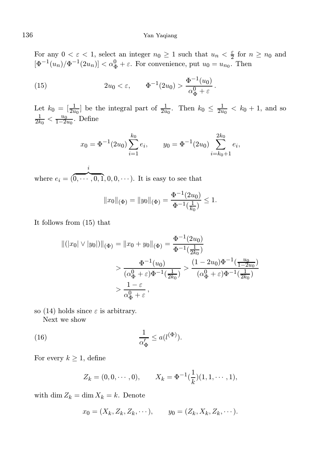For any  $0 < \varepsilon < 1$ , select an integer  $n_0 \ge 1$  such that  $u_n < \frac{\varepsilon}{2}$  for  $n \ge n_0$  and  $[\Phi^{-1}(u_n)/\Phi^{-1}(2u_n)] < \alpha_{\Phi}^0 + \varepsilon$ . For convenience, put  $u_0 = u_{n_0}$ . Then

(15) 
$$
2u_0 < \varepsilon, \qquad \Phi^{-1}(2u_0) > \frac{\Phi^{-1}(u_0)}{\alpha_{\Phi}^0 + \varepsilon}.
$$

Let  $k_0 = \left[\frac{1}{2u_0}\right]$  be the integral part of  $\frac{1}{2u_0}$ . Then  $k_0 \leq \frac{1}{2u_0} < k_0 + 1$ , and so  $\frac{1}{2k_0} < \frac{u_0}{1-2u_0}$ . Define

$$
x_0 = \Phi^{-1}(2u_0) \sum_{i=1}^{k_0} e_i
$$
,  $y_0 = \Phi^{-1}(2u_0) \sum_{i=k_0+1}^{2k_0} e_i$ ,

where  $e_i = (0)$ i  $\overline{0, \cdots, 0, 1}, 0, 0, \cdots$ ). It is easy to see that

$$
||x_0||_{(\Phi)} = ||y_0||_{(\Phi)} = \frac{\Phi^{-1}(2u_0)}{\Phi^{-1}(\frac{1}{k_0})} \le 1.
$$

It follows from (15) that

$$
\begin{aligned} ||(|x_0| \vee |y_0|)||_{(\Phi)} &= ||x_0 + y_0||_{(\Phi)} = \frac{\Phi^{-1}(2u_0)}{\Phi^{-1}(\frac{1}{2k_0})} \\ &> \frac{\Phi^{-1}(u_0)}{(\alpha_\Phi^0 + \varepsilon)\Phi^{-1}(\frac{1}{2k_0})} > \frac{(1 - 2u_0)\Phi^{-1}(\frac{u_0}{1 - 2u_0})}{(\alpha_\Phi^0 + \varepsilon)\Phi^{-1}(\frac{1}{2k_0})} \\ &> \frac{1 - \varepsilon}{\alpha_\Phi^0 + \varepsilon}, \end{aligned}
$$

so (14) holds since  $\varepsilon$  is arbitrary.

Next we show

(16) 
$$
\frac{1}{\alpha_{\Phi}'} \leq a(l^{(\Phi)}).
$$

For every  $k \geq 1$ , define

$$
Z_k = (0, 0, \cdots, 0), \qquad X_k = \Phi^{-1}(\frac{1}{k})(1, 1, \cdots, 1),
$$

with dim  $Z_k = \dim X_k = k$ . Denote

$$
x_0 = (X_k, Z_k, Z_k, \cdots), \qquad y_0 = (Z_k, X_k, Z_k, \cdots).
$$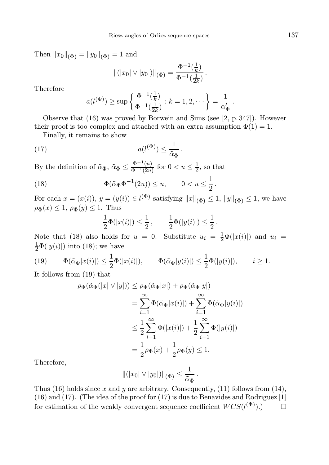Then  $||x_0||_{(\Phi)} = ||y_0||_{(\Phi)} = 1$  and

$$
\|(|x_0| \vee |y_0|)\|_{(\Phi)} = \frac{\Phi^{-1}(\frac{1}{k})}{\Phi^{-1}(\frac{1}{2k})}.
$$

Therefore

$$
a(l^{(\Phi)}) \ge \sup \left\{ \frac{\Phi^{-1}(\frac{1}{k})}{\Phi^{-1}(\frac{1}{2k})} : k = 1, 2, \cdots \right\} = \frac{1}{\alpha_{\Phi}'}.
$$

Observe that (16) was proved by Borwein and Sims (see [2, p. 347]). However their proof is too complex and attached with an extra assumption  $\Phi(1) = 1$ .

.

Finally, it remains to show

(17) 
$$
a(l^{(\Phi)}) \leq \frac{1}{\tilde{\alpha}_{\Phi}}
$$

By the definition of  $\tilde{\alpha}_{\Phi}$ ,  $\tilde{\alpha}_{\Phi} \le \frac{\Phi^{-1}(u)}{\Phi^{-1}(2u)}$  for  $0 < u \le \frac{1}{2}$ , so that

(18) 
$$
\Phi(\tilde{\alpha}_{\Phi} \Phi^{-1}(2u)) \le u, \qquad 0 < u \le \frac{1}{2}.
$$

For each  $x = (x(i)), y = (y(i)) \in l^{(\Phi)}$  satisfying  $||x||_{(\Phi)} \leq 1$ ,  $||y||_{(\Phi)} \leq 1$ , we have  $\rho_{\Phi}(x) \leq 1$ ,  $\rho_{\Phi}(y) \leq 1$ . Thus

$$
\frac{1}{2}\Phi(|x(i)|) \leq \frac{1}{2}, \qquad \frac{1}{2}\Phi(|y(i)|) \leq \frac{1}{2}.
$$

Note that (18) also holds for  $u = 0$ . Substitute  $u_i = \frac{1}{2}\Phi(|x(i)|)$  and  $u_i =$  $\frac{1}{2}\Phi(|y(i)|)$  into (18); we have

$$
(19) \qquad \Phi(\tilde{\alpha}_{\Phi}|x(i)|) \leq \frac{1}{2}\Phi(|x(i)|), \qquad \Phi(\tilde{\alpha}_{\Phi}|y(i)|) \leq \frac{1}{2}\Phi(|y(i)|), \qquad i \geq 1.
$$

It follows from (19) that

$$
\rho_{\Phi}(\tilde{\alpha}_{\Phi}(|x| \vee |y|)) \leq \rho_{\Phi}(\tilde{\alpha}_{\Phi}|x|) + \rho_{\Phi}(\tilde{\alpha}_{\Phi}|y|)
$$
  
= 
$$
\sum_{i=1}^{\infty} \Phi(\tilde{\alpha}_{\Phi}|x(i)|) + \sum_{i=1}^{\infty} \Phi(\tilde{\alpha}_{\Phi}|y(i)|)
$$
  

$$
\leq \frac{1}{2} \sum_{i=1}^{\infty} \Phi(|x(i)|) + \frac{1}{2} \sum_{i=1}^{\infty} \Phi(|y(i)|)
$$
  
= 
$$
\frac{1}{2} \rho_{\Phi}(x) + \frac{1}{2} \rho_{\Phi}(y) \leq 1.
$$

Therefore,

$$
\|(|x_0|\vee|y_0|)\|_{(\Phi)}\leq \frac{1}{\tilde{\alpha}_{\Phi}}.
$$

Thus (16) holds since x and y are arbitrary. Consequently, (11) follows from (14), (16) and (17). (The idea of the proof for (17) is due to Benavides and Rodriguez [1] for estimation of the weakly convergent sequence coefficient  $WCS(l^{(\Phi)}).$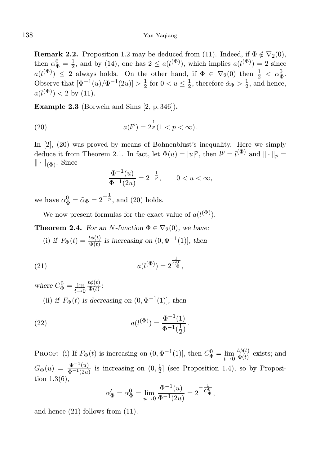**Remark 2.2.** Proposition 1.2 may be deduced from (11). Indeed, if  $\Phi \notin \nabla_2(0)$ , then  $\alpha_{\Phi}^{0} = \frac{1}{2}$ , and by (14), one has  $2 \leq a(l^{(\Phi)})$ , which implies  $a(l^{(\Phi)}) = 2$  since  $a(l^{(\Phi)}) \leq 2$  always holds. On the other hand, if  $\Phi \in \nabla_2(0)$  then  $\frac{1}{2} < \alpha_{\Phi}^0$ . Observe that  $[\Phi^{-1}(u)/\Phi^{-1}(2u)] > \frac{1}{2}$  for  $0 < u \leq \frac{1}{2}$ , therefore  $\tilde{\alpha}_{\Phi} > \frac{1}{2}$ , and hence,  $a(l^{(\Phi)}) < 2$  by (11).

Example 2.3 (Borwein and Sims [2, p. 346]).

(20) 
$$
a(l^p) = 2^{\frac{1}{p}}(1 < p < \infty).
$$

In [2], (20) was proved by means of Bohnenblust's inequality. Here we simply deduce it from Theorem 2.1. In fact, let  $\Phi(u) = |u|^p$ , then  $l^p = l^{(\Phi)}$  and  $\|\cdot\|_p =$  $\|\cdot\|_{(\Phi)}$ . Since

$$
\frac{\Phi^{-1}(u)}{\Phi^{-1}(2u)} = 2^{-\frac{1}{p}}, \qquad 0 < u < \infty,
$$

we have  $\alpha_{\Phi}^0 = \tilde{\alpha}_{\Phi} = 2^{-\frac{1}{p}}$ , and (20) holds.

We now present formulas for the exact value of  $a(l^{(\Phi)})$ .

**Theorem 2.4.** For an N-function  $\Phi \in \nabla_2(0)$ , we have:

(i) if  $F_{\Phi}(t) = \frac{t\phi(t)}{\Phi(t)}$  is increasing on  $(0, \Phi^{-1}(1))$ , then

(21) 
$$
a(l^{(\Phi)}) = 2^{\frac{1}{C_{\Phi}^0}},
$$

where  $C^0_{\Phi} = \lim_{t \to 0}$  $t\phi(t)$  $\frac{\mu\varphi(t)}{\Phi(t)}$ ;

(ii) if  $F_{\Phi}(t)$  is decreasing on  $(0, \Phi^{-1}(1))$ , then

(22) 
$$
a(l^{(\Phi)}) = \frac{\Phi^{-1}(1)}{\Phi^{-1}(\frac{1}{2})}.
$$

PROOF: (i) If  $F_{\Phi}(t)$  is increasing on  $(0, \Phi^{-1}(1)]$ , then  $C_{\Phi}^0 = \lim_{t \to 0}$  $t\phi(t)$  $\frac{\partial \varphi(t)}{\partial \varphi(t)}$  exists; and  $G_{\Phi}(u) = \frac{\Phi^{-1}(u)}{\Phi^{-1}(2u)}$  is increasing on  $(0, \frac{1}{2}]$  (see Proposition 1.4), so by Proposition 1.3(6),

$$
\alpha'_{\Phi} = \alpha_{\Phi}^{0} = \lim_{u \to 0} \frac{\Phi^{-1}(u)}{\Phi^{-1}(2u)} = 2^{-\frac{1}{C_{\Phi}^{0}}},
$$

and hence (21) follows from (11).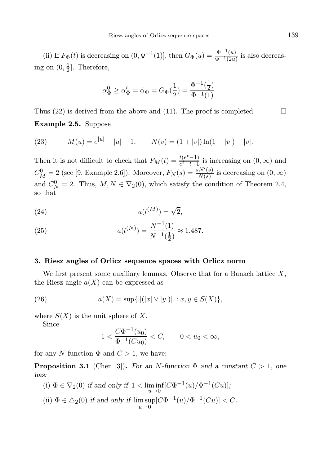(ii) If  $F_{\Phi}(t)$  is decreasing on  $(0, \Phi^{-1}(1)]$ , then  $G_{\Phi}(u) = \frac{\Phi^{-1}(u)}{\Phi^{-1}(2u)}$  is also decreasing on  $(0, \frac{1}{2}]$ . Therefore,

$$
\alpha_{\Phi}^0 \ge \alpha_{\Phi}' = \tilde{\alpha}_{\Phi} = G_{\Phi}(\frac{1}{2}) = \frac{\Phi^{-1}(\frac{1}{2})}{\Phi^{-1}(1)}.
$$

Thus (22) is derived from the above and (11). The proof is completed.  $\Box$ Example 2.5. Suppose

(23) 
$$
M(u) = e^{|u|} - |u| - 1, \qquad N(v) = (1 + |v|) \ln(1 + |v|) - |v|.
$$

Then it is not difficult to check that  $F_M(t) = \frac{t(e^t - 1)}{e^t - t - 1}$  $\frac{t(e-1)}{e^t-t-1}$  is increasing on  $(0,\infty)$  and  $C_M^0 = 2$  (see [9, Example 2.6]). Moreover,  $F_N(s) = \frac{sN'(s)}{N(s)}$  $\frac{N(S)}{N(s)}$  is decreasing on  $(0, \infty)$ and  $C_N^0 = 2$ . Thus,  $M, N \in \nabla_2(0)$ , which satisfy the condition of Theorem 2.4, so that

$$
(24) \qquad \qquad a(l^{(M)}) = \sqrt{2},
$$

(25) 
$$
a(l^{(N)}) = \frac{N^{-1}(1)}{N^{-1}(\frac{1}{2})} \approx 1.487.
$$

# 3. Riesz angles of Orlicz sequence spaces with Orlicz norm

We first present some auxiliary lemmas. Observe that for a Banach lattice  $X$ , the Riesz angle  $a(X)$  can be expressed as

(26) 
$$
a(X) = \sup\{\|(|x| \vee |y|)\| : x, y \in S(X)\},\
$$

where  $S(X)$  is the unit sphere of X.

Since

$$
1 < \frac{C\Phi^{-1}(u_0)}{\Phi^{-1}(Cu_0)} < C, \qquad 0 < u_0 < \infty,
$$

for any N-function  $\Phi$  and  $C > 1$ , we have:

**Proposition 3.1** (Chen [3]). For an N-function  $\Phi$  and a constant  $C > 1$ , one has:

(i) 
$$
\Phi \in \nabla_2(0)
$$
 if and only if  $1 < \liminf_{u \to 0} [C\Phi^{-1}(u)/\Phi^{-1}(Cu)];$  \n(ii)  $\Phi \in \Delta_2(0)$  if and only if  $\limsup_{u \to 0} [C\Phi^{-1}(u)/\Phi^{-1}(Cu)] < C$ .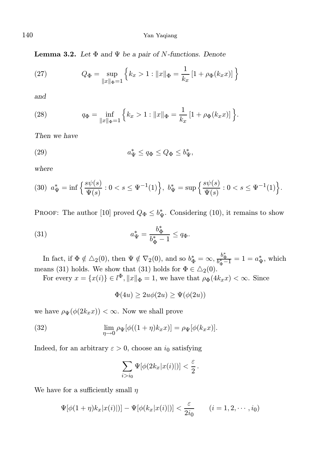140 Yan Yaqiang

**Lemma 3.2.** Let  $\Phi$  and  $\Psi$  be a pair of N-functions. Denote

(27) 
$$
Q_{\Phi} = \sup_{\|x\|_{\Phi} = 1} \left\{ k_x > 1 : \|x\|_{\Phi} = \frac{1}{k_x} \left[ 1 + \rho_{\Phi}(k_x x) \right] \right\}
$$

and

(28) 
$$
q_{\Phi} = \inf_{\|x\|_{\Phi}=1} \left\{ k_x > 1 : \|x\|_{\Phi} = \frac{1}{k_x} \left[ 1 + \rho_{\Phi}(k_x x) \right] \right\}.
$$

Then we have

(29) 
$$
a^*_{\Psi} \le q_{\Phi} \le Q_{\Phi} \le b^*_{\Psi},
$$

where

$$
(30) \ \ a_{\Psi}^* = \inf \left\{ \frac{s\psi(s)}{\Psi(s)} : 0 < s \le \Psi^{-1}(1) \right\}, \ b_{\Psi}^* = \sup \left\{ \frac{s\psi(s)}{\Psi(s)} : 0 < s \le \Psi^{-1}(1) \right\}.
$$

PROOF: The author [10] proved  $Q_{\Phi} \leq b_{\Psi}^*$ . Considering (10), it remains to show

(31) 
$$
a^*_{\Psi} = \frac{b^*_{\Phi}}{b^*_{\Phi} - 1} \leq q_{\Phi}.
$$

In fact, if  $\Phi \notin \Delta_2(0)$ , then  $\Psi \notin \nabla_2(0)$ , and so  $b_{\Phi}^* = \infty$ ,  $\frac{b_{\Phi}^*}{b_{\Phi}^* - 1} = 1 = a_{\Psi}^*$ , which means (31) holds. We show that (31) holds for  $\Phi \in \Delta_2(0)$ .

For every  $x = \{x(i)\} \in l^{\Phi}, ||x||_{\Phi} = 1$ , we have that  $\rho_{\Phi}(4k_x x) < \infty$ . Since

$$
\Phi(4u) \ge 2u\phi(2u) \ge \Psi(\phi(2u))
$$

we have  $\rho_{\Psi}(\phi(2k_x x)) < \infty$ . Now we shall prove

(32) 
$$
\lim_{\eta \to 0} \rho_{\Psi}[\phi((1+\eta)k_x x)] = \rho_{\Psi}[\phi(k_x x)].
$$

Indeed, for an arbitrary  $\varepsilon > 0$ , choose an i<sub>0</sub> satisfying

$$
\sum_{i>i_0}\Psi[\phi(2k_x|x(i)|)]<\frac{\varepsilon}{2}\,.
$$

We have for a sufficiently small  $\eta$ 

$$
\Psi[\phi(1+\eta)k_x|x(i)|)] - \Psi[\phi(k_x|x(i)|)] < \frac{\varepsilon}{2i_0} \qquad (i=1,2,\cdots,i_0)
$$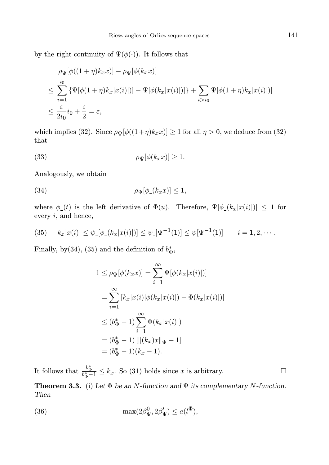by the right continuity of  $\Psi(\phi(\cdot))$ . It follows that

$$
\rho_{\Psi}[\phi((1+\eta)k_{x}x)] - \rho_{\Psi}[\phi(k_{x}x)]
$$
\n
$$
\leq \sum_{i=1}^{i_{0}} {\Psi[\phi(1+\eta)k_{x}|x(i)|)] - \Psi[\phi(k_{x}|x(i)|)] + \sum_{i>i_{0}}{\Psi[\phi(1+\eta)k_{x}|x(i)|)]}
$$
\n
$$
\leq \frac{\varepsilon}{2i_{0}}i_{0} + \frac{\varepsilon}{2} = \varepsilon,
$$

which implies (32). Since  $\rho_{\Psi}[\phi((1+\eta)k_x x)] \ge 1$  for all  $\eta > 0$ , we deduce from (32) that

(33) 
$$
\rho_{\Psi}[\phi(k_x x)] \geq 1.
$$

Analogously, we obtain

(34) 
$$
\rho_{\Psi}[\phi_{-}(k_{x}x)] \leq 1,
$$

where  $\phi_-(t)$  is the left derivative of  $\Phi(u)$ . Therefore,  $\Psi[\phi_-(k_x|x(i)|)] \leq 1$  for every i, and hence,

(35) 
$$
k_x|x(i)| \leq \psi_-[ \phi_-(k_x|x(i)|)] \leq \psi_-[ \Psi^{-1}(1)] \leq \psi_+[\Psi^{-1}(1)] \qquad i=1,2,\cdots.
$$

Finally, by(34), (35) and the definition of  $b_{\Phi}^*,$ 

$$
1 \leq \rho_{\Psi}[\phi(k_x x)] = \sum_{i=1}^{\infty} \Psi[\phi(k_x |x(i)|)]
$$
  
= 
$$
\sum_{i=1}^{\infty} [k_x |x(i)| \phi(k_x |x(i)|) - \Phi(k_x |x(i)|)]
$$
  

$$
\leq (b_{\Phi}^* - 1) \sum_{i=1}^{\infty} \Phi(k_x |x(i)|)
$$
  
= 
$$
(b_{\Phi}^* - 1) [\|(k_x) x\|_{\Phi} - 1]
$$
  
= 
$$
(b_{\Phi}^* - 1)(k_x - 1).
$$

It follows that  $\frac{b_{\Phi}^*}{b_{\Phi}^*-1} \leq k_x$ . So (31) holds since x is arbitrary.

**Theorem 3.3.** (i) Let  $\Phi$  be an N-function and  $\Psi$  its complementary N-function. Then

(36) 
$$
\max(2\beta_{\Psi}^0, 2\beta_{\Psi}') \leq a(l^{\Phi}),
$$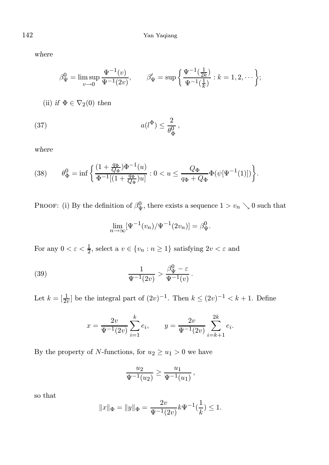where

$$
\beta_{\Psi}^{0} = \limsup_{v \to 0} \frac{\Psi^{-1}(v)}{\Psi^{-1}(2v)}, \qquad \beta_{\Psi}' = \sup \left\{ \frac{\Psi^{-1}(\frac{1}{2k})}{\Psi^{-1}(\frac{1}{k})} : k = 1, 2, \cdots \right\};
$$

(ii) if  $\Phi \in \nabla_2(0)$  then

$$
(37) \t a(l^{\Phi}) \le \frac{2}{\theta_{\Phi}^0},
$$

where

(38) 
$$
\theta_{\Phi}^{0} = \inf \left\{ \frac{(1 + \frac{q_{\Phi}}{Q_{\Phi}}) \Phi^{-1}(u)}{\Phi^{-1}[(1 + \frac{q_{\Phi}}{Q_{\Phi}})u]} : 0 < u \le \frac{Q_{\Phi}}{q_{\Phi} + Q_{\Phi}} \Phi(\psi[\Psi^{-1}(1)]) \right\}.
$$

PROOF: (i) By the definition of  $\beta_{\Psi}^0$ , there exists a sequence  $1 > v_n \searrow 0$  such that

$$
\lim_{n \to \infty} [\Psi^{-1}(v_n)/\Psi^{-1}(2v_n)] = \beta_{\Psi}^0.
$$

For any  $0 < \varepsilon < \frac{1}{2}$ , select a  $v \in \{v_n : n \ge 1\}$  satisfying  $2v < \varepsilon$  and

(39) 
$$
\frac{1}{\Psi^{-1}(2v)} > \frac{\beta_{\Psi}^{0} - \varepsilon}{\Psi^{-1}(v)}.
$$

Let  $k = \left[\frac{1}{2v}\right]$  be the integral part of  $(2v)^{-1}$ . Then  $k \leq (2v)^{-1} < k+1$ . Define

$$
x = \frac{2v}{\Psi^{-1}(2v)} \sum_{i=1}^{k} e_i, \qquad y = \frac{2v}{\Psi^{-1}(2v)} \sum_{i=k+1}^{2k} e_i.
$$

By the property of  $N\text{-}functions,$  for  $u_2\geq u_1>0$  we have

$$
\frac{u_2}{\Psi^{-1}(u_2)} \ge \frac{u_1}{\Psi^{-1}(u_1)},
$$

so that

$$
||x||_{\Phi} = ||y||_{\Phi} = \frac{2v}{\Psi^{-1}(2v)} k \Psi^{-1}(\frac{1}{k}) \le 1.
$$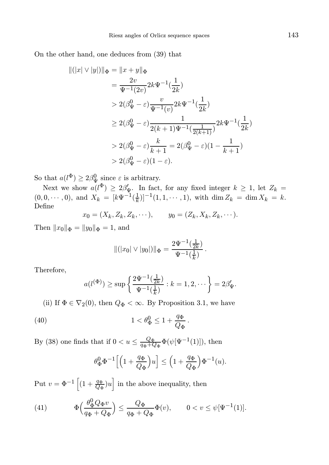On the other hand, one deduces from (39) that

$$
\begin{aligned} ||(|x| \vee |y|)||_{\Phi} &= ||x + y||_{\Phi} \\ &= \frac{2v}{\Psi^{-1}(2v)} 2k \Psi^{-1}(\frac{1}{2k}) \\ &> 2(\beta_{\Psi}^{0} - \varepsilon) \frac{v}{\Psi^{-1}(v)} 2k \Psi^{-1}(\frac{1}{2k}) \\ &\ge 2(\beta_{\Psi}^{0} - \varepsilon) \frac{1}{2(k+1)\Psi^{-1}(\frac{1}{2(k+1)})} 2k \Psi^{-1}(\frac{1}{2k}) \\ &> 2(\beta_{\Psi}^{0} - \varepsilon) \frac{k}{k+1} = 2(\beta_{\Psi}^{0} - \varepsilon)(1 - \frac{1}{k+1}) \\ &> 2(\beta_{\Psi}^{0} - \varepsilon)(1 - \varepsilon). \end{aligned}
$$

So that  $a(l^{\Phi}) \geq 2\beta_{\Psi}^0$  since  $\varepsilon$  is arbitrary.

Next we show  $a(l^{\Phi}) \geq 2\beta'_{\Psi}$ . In fact, for any fixed integer  $k \geq 1$ , let  $Z_k =$  $(0, 0, \dots, 0)$ , and  $X_k = [k\Psi^{-1}(\frac{1}{k})]^{-1}(1, 1, \dots, 1)$ , with  $\dim Z_k = \dim X_k = k$ . Define

$$
x_0 = (X_k, Z_k, Z_k, \cdots), \qquad y_0 = (Z_k, X_k, Z_k, \cdots).
$$

Then  $||x_0||_{\Phi} = ||y_0||_{\Phi} = 1$ , and

$$
\|(|x_0| \vee |y_0|)\|_{\Phi} = \frac{2\Psi^{-1}(\frac{1}{2k})}{\Psi^{-1}(\frac{1}{k})}.
$$

Therefore,

$$
a(l^{(\Phi)}) \ge \sup \left\{ \frac{2\Psi^{-1}(\frac{1}{2k})}{\Psi^{-1}(\frac{1}{k})} : k = 1, 2, \cdots \right\} = 2\beta'_{\Psi}.
$$

(ii) If  $\Phi \in \nabla_2(0)$ , then  $Q_{\Phi} < \infty$ . By Proposition 3.1, we have

(40) 
$$
1 < \theta_{\Phi}^0 \le 1 + \frac{q_{\Phi}}{Q_{\Phi}}.
$$

By (38) one finds that if  $0 < u \leq \frac{Q_{\Phi}}{q_{\Phi} + \zeta}$  $\frac{Q_{\Phi}}{q_{\Phi}+Q_{\Phi}}\Phi(\psi[\Psi^{-1}(1)]), \text{ then}$ 

$$
\theta_{\Phi}^0 \Phi^{-1} \Big[ \Big( 1 + \frac{q_{\Phi}}{Q_{\Phi}} \Big) u \Big] \le \Big( 1 + \frac{q_{\Phi}}{Q_{\Phi}} \Big) \Phi^{-1}(u).
$$

Put  $v = \Phi^{-1}\left[ (1 + \frac{q\Phi}{Q\Phi})u \right]$  in the above inequality, then

(41) 
$$
\Phi\left(\frac{\theta_{\Phi}^{0}Q_{\Phi}v}{q_{\Phi}+Q_{\Phi}}\right) \leq \frac{Q_{\Phi}}{q_{\Phi}+Q_{\Phi}}\Phi(v), \qquad 0 < v \leq \psi[\Psi^{-1}(1)].
$$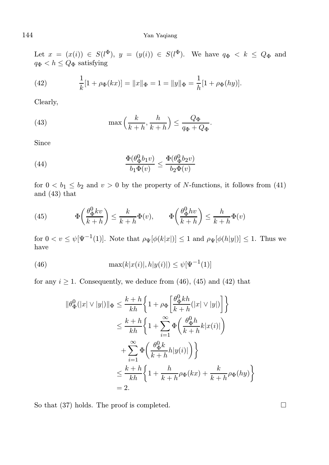### 144 Yan Yaqiang

Let  $x = (x(i)) \in S(l^{\Phi}), y = (y(i)) \in S(l^{\Phi}).$  We have  $q_{\Phi} < k \leq Q_{\Phi}$  and  $q_{\Phi} < h \leq Q_{\Phi}$  satisfying

(42) 
$$
\frac{1}{k}[1 + \rho_{\Phi}(kx)] = ||x||_{\Phi} = 1 = ||y||_{\Phi} = \frac{1}{h}[1 + \rho_{\Phi}(hy)].
$$

Clearly,

(43) 
$$
\max\left(\frac{k}{k+h}, \frac{h}{k+h}\right) \leq \frac{Q_{\Phi}}{q_{\Phi} + Q_{\Phi}}.
$$

Since

(44) 
$$
\frac{\Phi(\theta_{\Phi}^{0}b_{1}v)}{b_{1}\Phi(v)} \leq \frac{\Phi(\theta_{\Phi}^{0}b_{2}v)}{b_{2}\Phi(v)}
$$

for  $0 < b_1 \leq b_2$  and  $v > 0$  by the property of N-functions, it follows from (41) and (43) that

(45) 
$$
\Phi\left(\frac{\theta_{\Phi}^{0}kv}{k+h}\right) \leq \frac{k}{k+h}\Phi(v), \qquad \Phi\left(\frac{\theta_{\Phi}^{0}hv}{k+h}\right) \leq \frac{h}{k+h}\Phi(v)
$$

for  $0 < v \leq \psi[\Psi^{-1}(1)]$ . Note that  $\rho_{\Psi}[\phi(k|x|)] \leq 1$  and  $\rho_{\Psi}[\phi(h|y|)] \leq 1$ . Thus we have

(46) 
$$
\max(k|x(i)|, h|y(i)|) \leq \psi[\Psi^{-1}(1)]
$$

for any  $i \geq 1$ . Consequently, we deduce from (46), (45) and (42) that

$$
\begin{split} \|\theta^0_\Phi(|x|\vee|y|)\|_\Phi &\leq \frac{k+h}{kh}\bigg\{1+\rho_\Phi\bigg[\frac{\theta^0_\Phi kh}{k+h}(|x|\vee|y|)\bigg]\bigg\}\\ &\leq \frac{k+h}{kh}\bigg\{1+\sum_{i=1}^\infty\Phi\bigg(\frac{\theta^0_\Phi h}{k+h}k|x(i)|\bigg)\\ &\quad+\sum_{i=1}^\infty\Phi\bigg(\frac{\theta^0_\Phi k}{k+h}h|y(i)|\bigg)\bigg\}\\ &\leq \frac{k+h}{kh}\bigg\{1+\frac{h}{k+h}\rho_\Phi(kx)+\frac{k}{k+h}\rho_\Phi(hy)\bigg\}\\ &=2. \end{split}
$$

So that  $(37)$  holds. The proof is completed.  $\square$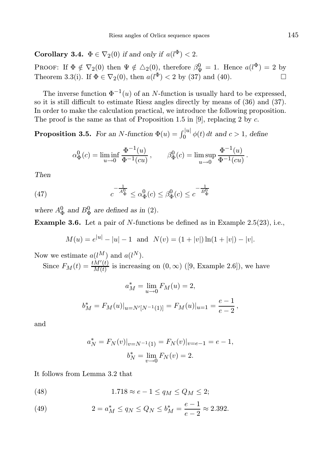**Corollary 3.4.**  $\Phi \in \nabla_2(0)$  if and only if  $a(l^{\Phi}) < 2$ .

PROOF: If  $\Phi \notin \nabla_2(0)$  then  $\Psi \notin \Delta_2(0)$ , therefore  $\beta_{\Psi}^0 = 1$ . Hence  $a(l^{\Phi}) = 2$  by Theorem 3.3(i). If  $\Phi \in \nabla_2(0)$ , then  $a(l^{\Phi}) < 2$  by (37) and (40).

The inverse function  $\Phi^{-1}(u)$  of an N-function is usually hard to be expressed, so it is still difficult to estimate Riesz angles directly by means of (36) and (37). In order to make the calculation practical, we introduce the following proposition. The proof is the same as that of Proposition 1.5 in [9], replacing 2 by  $c$ .

**Proposition 3.5.** For an N-function  $\Phi(u) = \int_0^{|u|} \phi(t) dt$  and  $c > 1$ , define

$$
\alpha_{\Phi}^{0}(c) = \liminf_{u \to 0} \frac{\Phi^{-1}(u)}{\Phi^{-1}(cu)}, \qquad \beta_{\Phi}^{0}(c) = \limsup_{u \to 0} \frac{\Phi^{-1}(u)}{\Phi^{-1}(cu)}.
$$

Then

(47) 
$$
c^{-\frac{1}{A_{\Phi}^0}} \leq \alpha_{\Phi}^0(c) \leq \beta_{\Phi}^0(c) \leq c^{-\frac{1}{B_{\Phi}^0}}
$$

where  $A^0_{\Phi}$  and  $B^0_{\Phi}$  are defined as in (2).

Example 3.6. Let a pair of N-functions be defined as in Example 2.5(23), i.e.,

$$
M(u) = e^{|u|} - |u| - 1
$$
 and  $N(v) = (1 + |v|) \ln(1 + |v|) - |v|$ .

Now we estimate  $a(l^M)$  and  $a(l^N)$ .

Since  $F_M(t) = \frac{t \dot{M}'(t)}{M(t)}$  $\frac{M(t)}{M(t)}$  is increasing on  $(0, \infty)$  ([9, Example 2.6]), we have

$$
a_M^* = \lim_{u \to 0} F_M(u) = 2,
$$
  

$$
b_M^* = F_M(u)|_{u = N'[N^{-1}(1)]} = F_M(u)|_{u=1} = \frac{e-1}{e-2},
$$

and

$$
a_N^* = F_N(v)|_{v=N^{-1}(1)} = F_N(v)|_{v=e-1} = e-1,
$$
  

$$
b_N^* = \lim_{v \to 0} F_N(v) = 2.
$$

It follows from Lemma 3.2 that

(48) 
$$
1.718 \approx e - 1 \le q_M \le Q_M \le 2;
$$

(49) 
$$
2 = a_M^* \le q_N \le Q_N \le b_M^* = \frac{e-1}{e-2} \approx 2.392.
$$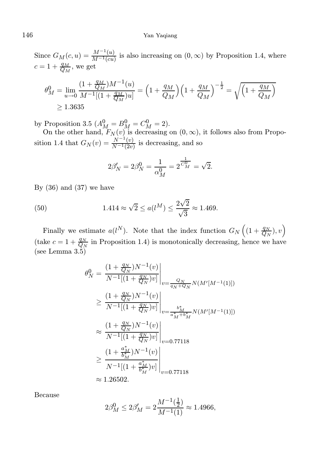### 146 Yan Yaqiang

Since  $G_M(c, u) = \frac{M^{-1}(u)}{M^{-1}(cu)}$  is also increasing on  $(0, \infty)$  by Proposition 1.4, where  $c = 1 + \frac{q_M}{Q_M}$ , we get

$$
\theta_M^0 = \lim_{u \to 0} \frac{(1 + \frac{q_M}{Q_M})M^{-1}(u)}{M^{-1}[(1 + \frac{q_M}{Q_M})u]} = \left(1 + \frac{q_M}{Q_M}\right)\left(1 + \frac{q_M}{Q_M}\right)^{-\frac{1}{2}} = \sqrt{\left(1 + \frac{q_M}{Q_M}\right)}
$$
  
\n
$$
\geq 1.3635
$$

by Proposition 3.5  $(A_M^0 = B_M^0 = C_M^0 = 2)$ .

On the other hand,  $F_N(v)$  is decreasing on  $(0, \infty)$ , it follows also from Proposition 1.4 that  $G_N(v) = \frac{N^{-1}(v)}{N^{-1}(2v)}$  is decreasing, and so

$$
2\beta'_N = 2\beta_N^0 = \frac{1}{\alpha_M^0} = 2^{\frac{1}{C_M^0}} = \sqrt{2}.
$$

By  $(36)$  and  $(37)$  we have

(50) 
$$
1.414 \approx \sqrt{2} \le a(l^M) \le \frac{2\sqrt{2}}{\sqrt{3}} \approx 1.469.
$$

Finally we estimate  $a(l^N)$ . Note that the index function  $G_N\left((1+\frac{q_N}{Q_N}),v\right)$ (take  $c = 1 + \frac{q_N}{Q_N}$  in Proposition 1.4) is monotonically decreasing, hence we have (see Lemma 3.5)

$$
\theta_N^0 = \frac{(1 + \frac{q_N}{Q_N})N^{-1}(v)}{N^{-1}[(1 + \frac{q_N}{Q_N})v]} \Big|_{v = \frac{Q_N}{q_N + Q_N}} N(M'[M^{-1}(1)])
$$
\n
$$
\geq \frac{(1 + \frac{q_N}{Q_N})N^{-1}(v)}{N^{-1}[(1 + \frac{q_N}{Q_N})v]} \Big|_{v = \frac{b_M^*}{a_M^* + b_M^*}} N(M'[M^{-1}(1)])
$$
\n
$$
\approx \frac{(1 + \frac{q_N}{Q_N})N^{-1}(v)}{N^{-1}[(1 + \frac{q_N}{Q_N})v]} \Big|_{v = 0.77118}
$$
\n
$$
\geq \frac{(1 + \frac{a_M^*}{b_M^*})N^{-1}(v)}{N^{-1}[(1 + \frac{a_M^*}{b_M^*})v]} \Big|_{v = 0.77118}
$$
\n
$$
\approx 1.26502.
$$

Because

$$
2\beta_M^0 \le 2\beta_M' = 2\frac{M^{-1}(\frac{1}{2})}{M^{-1}(1)} \approx 1.4966,
$$